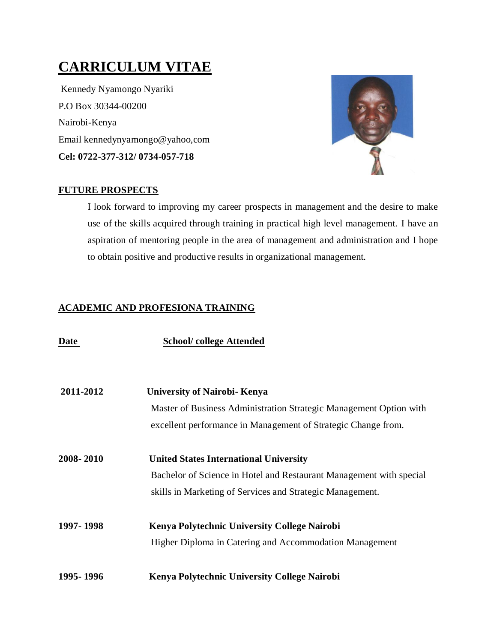# **CARRICULUM VITAE**

Kennedy Nyamongo Nyariki P.O Box 30344-00200 Nairobi-Kenya Email kennedynyamongo@yahoo,com **Cel: 0722-377-312/ 0734-057-718**



## **FUTURE PROSPECTS**

I look forward to improving my career prospects in management and the desire to make use of the skills acquired through training in practical high level management. I have an aspiration of mentoring people in the area of management and administration and I hope to obtain positive and productive results in organizational management.

# **ACADEMIC AND PROFESIONA TRAINING**

| Date      | <b>School/college Attended</b>                                      |
|-----------|---------------------------------------------------------------------|
| 2011-2012 | <b>University of Nairobi- Kenya</b>                                 |
|           | Master of Business Administration Strategic Management Option with  |
|           | excellent performance in Management of Strategic Change from.       |
| 2008-2010 | <b>United States International University</b>                       |
|           | Bachelor of Science in Hotel and Restaurant Management with special |
|           | skills in Marketing of Services and Strategic Management.           |
| 1997-1998 | <b>Kenya Polytechnic University College Nairobi</b>                 |
|           | Higher Diploma in Catering and Accommodation Management             |
| 1995-1996 | Kenya Polytechnic University College Nairobi                        |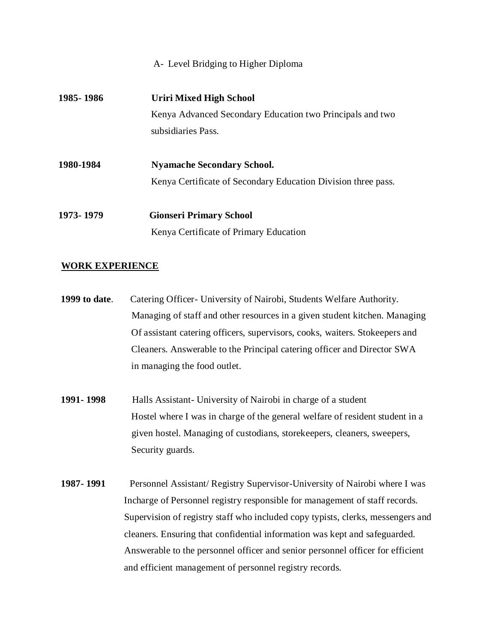#### A- Level Bridging to Higher Diploma

| 1985 - 1986 | Uriri Mixed High School                                       |
|-------------|---------------------------------------------------------------|
|             | Kenya Advanced Secondary Education two Principals and two     |
|             | subsidiaries Pass.                                            |
| 1980-1984   | <b>Nyamache Secondary School.</b>                             |
|             | Kenya Certificate of Secondary Education Division three pass. |
| 1973-1979   | <b>Gionseri Primary School</b>                                |
|             | Kenya Certificate of Primary Education                        |

#### **WORK EXPERIENCE**

- **1999 to date**. Catering Officer- University of Nairobi, Students Welfare Authority. Managing of staff and other resources in a given student kitchen. Managing Of assistant catering officers, supervisors, cooks, waiters. Stokeepers and Cleaners. Answerable to the Principal catering officer and Director SWA in managing the food outlet.
- **1991- 1998** Halls Assistant- University of Nairobi in charge of a student Hostel where I was in charge of the general welfare of resident student in a given hostel. Managing of custodians, storekeepers, cleaners, sweepers, Security guards.
- **1987- 1991** Personnel Assistant/ Registry Supervisor-University of Nairobi where I was Incharge of Personnel registry responsible for management of staff records. Supervision of registry staff who included copy typists, clerks, messengers and cleaners. Ensuring that confidential information was kept and safeguarded. Answerable to the personnel officer and senior personnel officer for efficient and efficient management of personnel registry records.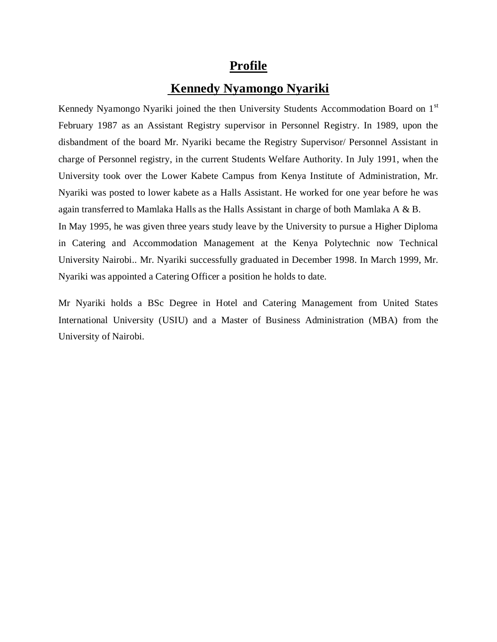# **Profile**

# **Kennedy Nyamongo Nyariki**

Kennedy Nyamongo Nyariki joined the then University Students Accommodation Board on 1<sup>st</sup> February 1987 as an Assistant Registry supervisor in Personnel Registry. In 1989, upon the disbandment of the board Mr. Nyariki became the Registry Supervisor/ Personnel Assistant in charge of Personnel registry, in the current Students Welfare Authority. In July 1991, when the University took over the Lower Kabete Campus from Kenya Institute of Administration, Mr. Nyariki was posted to lower kabete as a Halls Assistant. He worked for one year before he was again transferred to Mamlaka Halls as the Halls Assistant in charge of both Mamlaka A & B. In May 1995, he was given three years study leave by the University to pursue a Higher Diploma in Catering and Accommodation Management at the Kenya Polytechnic now Technical

University Nairobi.. Mr. Nyariki successfully graduated in December 1998. In March 1999, Mr. Nyariki was appointed a Catering Officer a position he holds to date.

Mr Nyariki holds a BSc Degree in Hotel and Catering Management from United States International University (USIU) and a Master of Business Administration (MBA) from the University of Nairobi.